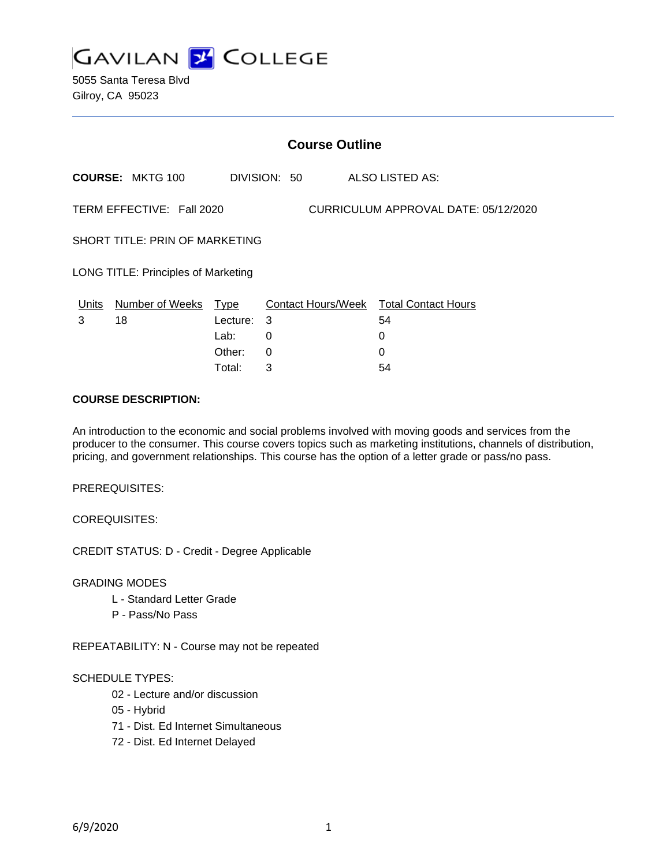

5055 Santa Teresa Blvd Gilroy, CA 95023

|                                                                   | <b>Course Outline</b>   |                                           |              |          |                                              |
|-------------------------------------------------------------------|-------------------------|-------------------------------------------|--------------|----------|----------------------------------------------|
|                                                                   | <b>COURSE: MKTG 100</b> |                                           | DIVISION: 50 |          | ALSO LISTED AS:                              |
| TERM EFFECTIVE: Fall 2020<br>CURRICULUM APPROVAL DATE: 05/12/2020 |                         |                                           |              |          |                                              |
| SHORT TITLE: PRIN OF MARKETING                                    |                         |                                           |              |          |                                              |
| <b>LONG TITLE: Principles of Marketing</b>                        |                         |                                           |              |          |                                              |
| Units<br>3                                                        | Number of Weeks<br>18   | <u>Type</u><br>Lecture:<br>Lab:<br>Other: | 3<br>0<br>0  | $\Omega$ | Contact Hours/Week Total Contact Hours<br>54 |
|                                                                   |                         |                                           |              |          |                                              |

Total: 3 54

#### **COURSE DESCRIPTION:**

An introduction to the economic and social problems involved with moving goods and services from the producer to the consumer. This course covers topics such as marketing institutions, channels of distribution, pricing, and government relationships. This course has the option of a letter grade or pass/no pass.

PREREQUISITES:

COREQUISITES:

CREDIT STATUS: D - Credit - Degree Applicable

GRADING MODES

- L Standard Letter Grade
- P Pass/No Pass

REPEATABILITY: N - Course may not be repeated

#### SCHEDULE TYPES:

- 02 Lecture and/or discussion
- 05 Hybrid
- 71 Dist. Ed Internet Simultaneous
- 72 Dist. Ed Internet Delayed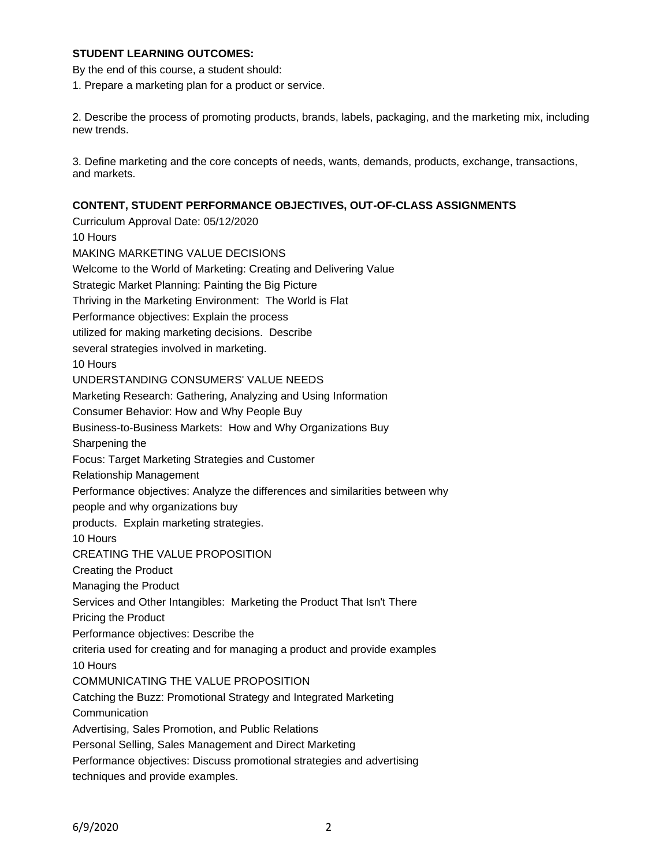## **STUDENT LEARNING OUTCOMES:**

By the end of this course, a student should:

1. Prepare a marketing plan for a product or service.

2. Describe the process of promoting products, brands, labels, packaging, and the marketing mix, including new trends.

3. Define marketing and the core concepts of needs, wants, demands, products, exchange, transactions, and markets.

## **CONTENT, STUDENT PERFORMANCE OBJECTIVES, OUT-OF-CLASS ASSIGNMENTS**

Curriculum Approval Date: 05/12/2020 10 Hours MAKING MARKETING VALUE DECISIONS Welcome to the World of Marketing: Creating and Delivering Value Strategic Market Planning: Painting the Big Picture Thriving in the Marketing Environment: The World is Flat Performance objectives: Explain the process utilized for making marketing decisions. Describe several strategies involved in marketing. 10 Hours UNDERSTANDING CONSUMERS' VALUE NEEDS Marketing Research: Gathering, Analyzing and Using Information Consumer Behavior: How and Why People Buy Business-to-Business Markets: How and Why Organizations Buy Sharpening the Focus: Target Marketing Strategies and Customer Relationship Management Performance objectives: Analyze the differences and similarities between why people and why organizations buy products. Explain marketing strategies. 10 Hours CREATING THE VALUE PROPOSITION Creating the Product Managing the Product Services and Other Intangibles: Marketing the Product That Isn't There Pricing the Product Performance objectives: Describe the criteria used for creating and for managing a product and provide examples 10 Hours COMMUNICATING THE VALUE PROPOSITION Catching the Buzz: Promotional Strategy and Integrated Marketing Communication Advertising, Sales Promotion, and Public Relations Personal Selling, Sales Management and Direct Marketing Performance objectives: Discuss promotional strategies and advertising techniques and provide examples.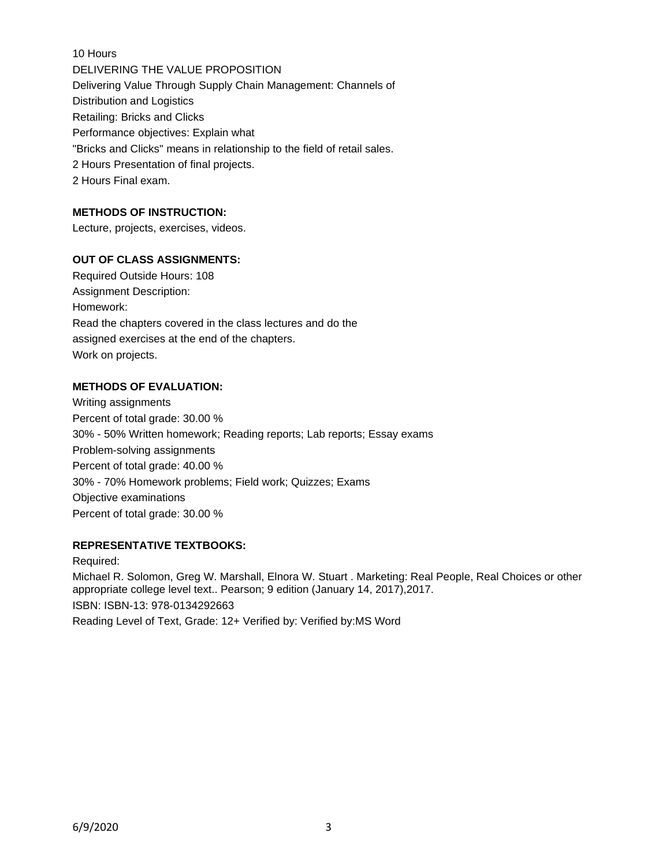10 Hours DELIVERING THE VALUE PROPOSITION Delivering Value Through Supply Chain Management: Channels of Distribution and Logistics Retailing: Bricks and Clicks Performance objectives: Explain what "Bricks and Clicks" means in relationship to the field of retail sales. 2 Hours Presentation of final projects. 2 Hours Final exam.

# **METHODS OF INSTRUCTION:**

Lecture, projects, exercises, videos.

### **OUT OF CLASS ASSIGNMENTS:**

Required Outside Hours: 108 Assignment Description: Homework: Read the chapters covered in the class lectures and do the assigned exercises at the end of the chapters. Work on projects.

### **METHODS OF EVALUATION:**

Writing assignments Percent of total grade: 30.00 % 30% - 50% Written homework; Reading reports; Lab reports; Essay exams Problem-solving assignments Percent of total grade: 40.00 % 30% - 70% Homework problems; Field work; Quizzes; Exams Objective examinations Percent of total grade: 30.00 %

#### **REPRESENTATIVE TEXTBOOKS:**

Required: Michael R. Solomon, Greg W. Marshall, Elnora W. Stuart . Marketing: Real People, Real Choices or other appropriate college level text.. Pearson; 9 edition (January 14, 2017),2017. ISBN: ISBN-13: 978-0134292663 Reading Level of Text, Grade: 12+ Verified by: Verified by:MS Word